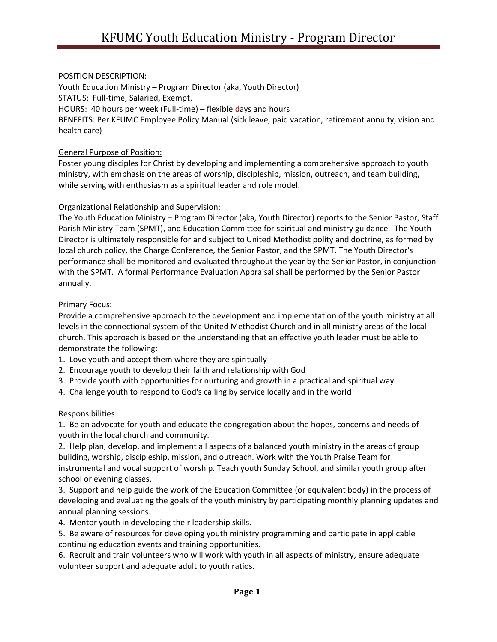# POSITION DESCRIPTION:

Youth Education Ministry – Program Director (aka, Youth Director) STATUS: Full-time, Salaried, Exempt. HOURS: 40 hours per week (Full-time) – flexible days and hours BENEFITS: Per KFUMC Employee Policy Manual (sick leave, paid vacation, retirement annuity, vision and health care)

### General Purpose of Position:

Foster young disciples for Christ by developing and implementing a comprehensive approach to youth ministry, with emphasis on the areas of worship, discipleship, mission, outreach, and team building, while serving with enthusiasm as a spiritual leader and role model.

#### Organizational Relationship and Supervision:

The Youth Education Ministry – Program Director (aka, Youth Director) reports to the Senior Pastor, Staff Parish Ministry Team (SPMT), and Education Committee for spiritual and ministry guidance. The Youth Director is ultimately responsible for and subject to United Methodist polity and doctrine, as formed by local church policy, the Charge Conference, the Senior Pastor, and the SPMT. The Youth Director's performance shall be monitored and evaluated throughout the year by the Senior Pastor, in conjunction with the SPMT. A formal Performance Evaluation Appraisal shall be performed by the Senior Pastor annually.

#### Primary Focus:

Provide a comprehensive approach to the development and implementation of the youth ministry at all levels in the connectional system of the United Methodist Church and in all ministry areas of the local church. This approach is based on the understanding that an effective youth leader must be able to demonstrate the following:

- 1. Love youth and accept them where they are spiritually
- 2. Encourage youth to develop their faith and relationship with God
- 3. Provide youth with opportunities for nurturing and growth in a practical and spiritual way
- 4. Challenge youth to respond to God's calling by service locally and in the world

# Responsibilities:

1. Be an advocate for youth and educate the congregation about the hopes, concerns and needs of youth in the local church and community.

2. Help plan, develop, and implement all aspects of a balanced youth ministry in the areas of group building, worship, discipleship, mission, and outreach. Work with the Youth Praise Team for instrumental and vocal support of worship. Teach youth Sunday School, and similar youth group after school or evening classes.

3. Support and help guide the work of the Education Committee (or equivalent body) in the process of developing and evaluating the goals of the youth ministry by participating monthly planning updates and annual planning sessions.

4. Mentor youth in developing their leadership skills.

5. Be aware of resources for developing youth ministry programming and participate in applicable continuing education events and training opportunities.

6. Recruit and train volunteers who will work with youth in all aspects of ministry, ensure adequate volunteer support and adequate adult to youth ratios.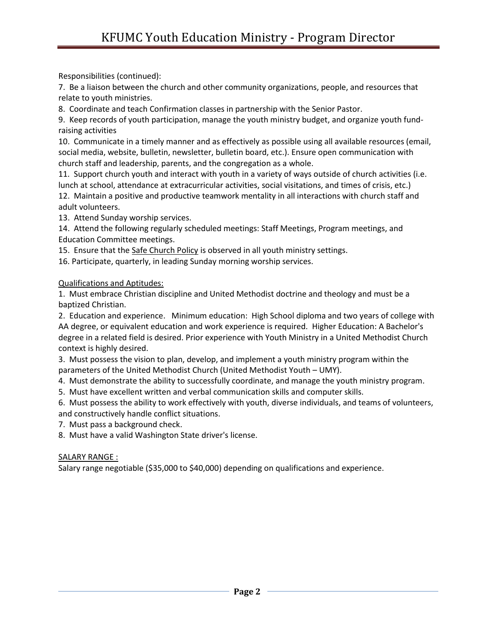Responsibilities (continued):

7. Be a liaison between the church and other community organizations, people, and resources that relate to youth ministries.

8. Coordinate and teach Confirmation classes in partnership with the Senior Pastor.

9. Keep records of youth participation, manage the youth ministry budget, and organize youth fundraising activities

10. Communicate in a timely manner and as effectively as possible using all available resources (email, social media, website, bulletin, newsletter, bulletin board, etc.). Ensure open communication with church staff and leadership, parents, and the congregation as a whole.

11. Support church youth and interact with youth in a variety of ways outside of church activities (i.e. lunch at school, attendance at extracurricular activities, social visitations, and times of crisis, etc.) 12. Maintain a positive and productive teamwork mentality in all interactions with church staff and adult volunteers.

13. Attend Sunday worship services.

14. Attend the following regularly scheduled meetings: Staff Meetings, Program meetings, and Education Committee meetings.

15. Ensure that the Safe Church Policy is observed in all youth ministry settings.

16. Participate, quarterly, in leading Sunday morning worship services.

Qualifications and Aptitudes:

1. Must embrace Christian discipline and United Methodist doctrine and theology and must be a baptized Christian.

2. Education and experience. Minimum education: High School diploma and two years of college with AA degree, or equivalent education and work experience is required. Higher Education: A Bachelor's degree in a related field is desired. Prior experience with Youth Ministry in a United Methodist Church context is highly desired.

3. Must possess the vision to plan, develop, and implement a youth ministry program within the parameters of the United Methodist Church (United Methodist Youth – UMY).

4. Must demonstrate the ability to successfully coordinate, and manage the youth ministry program.

5. Must have excellent written and verbal communication skills and computer skills.

6. Must possess the ability to work effectively with youth, diverse individuals, and teams of volunteers, and constructively handle conflict situations.

7. Must pass a background check.

8. Must have a valid Washington State driver's license.

# SALARY RANGE :

Salary range negotiable (\$35,000 to \$40,000) depending on qualifications and experience.